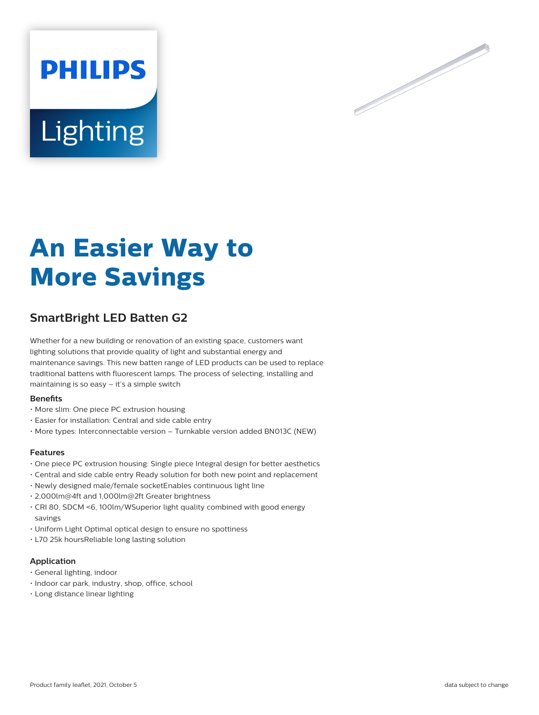



# **An Easier Way to More Savings**

# **SmartBright LED Batten G2**

Whether for a new building or renovation of an existing space, customers want lighting solutions that provide quality of light and substantial energy and maintenance savings. This new batten range of LED products can be used to replace traditional battens with fluorescent lamps. The process of selecting, installing and maintaining is so easy – it's a simple switch

#### **Benefits**

- More slim: One piece PC extrusion housing
- Easier for installation: Central and side cable entry
- More types: Interconnectable version Turnkable version added BN013C (NEW)

#### **Features**

- One piece PC extrusion housing: Single piece Integral design for better aesthetics
- Central and side cable entry Ready solution for both new point and replacement
- Newly designed male/female socketEnables continuous light line
- 2,000lm@4ft and 1,000lm@2ft Greater brightness
- CRI 80, SDCM <6, 100lm/WSuperior light quality combined with good energy savings
- Uniform Light Optimal optical design to ensure no spottiness
- L70 25k hoursReliable long lasting solution

## **Application**

- General lighting, indoor
- Indoor car park, industry, shop, office, school
- Long distance linear lighting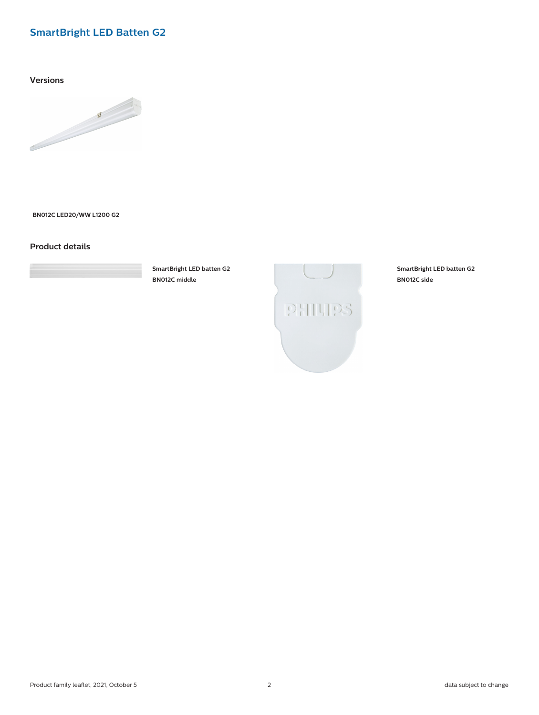## **SmartBright LED Batten G2**

**Versions**



**BN012C LED20/WW L1200 G2**

## **Product details**



**SmartBright LED batten G2 BN012C middle**



**SmartBright LED batten G2 BN012C side**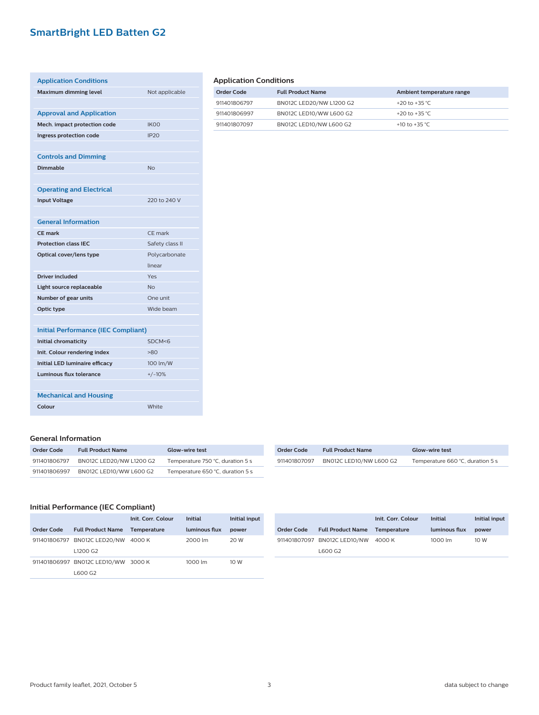# **SmartBright LED Batten G2**

| <b>Application Conditions</b>              |                 |  |
|--------------------------------------------|-----------------|--|
| Maximum dimming level                      | Not applicable  |  |
|                                            |                 |  |
| <b>Approval and Application</b>            |                 |  |
| Mech. impact protection code               | <b>IKOO</b>     |  |
| Ingress protection code                    | IP20            |  |
|                                            |                 |  |
| <b>Controls and Dimming</b>                |                 |  |
| Dimmable                                   | N <sub>0</sub>  |  |
|                                            |                 |  |
| <b>Operating and Electrical</b>            |                 |  |
| <b>Input Voltage</b>                       | 220 to 240 V    |  |
|                                            |                 |  |
| <b>General Information</b>                 |                 |  |
| CF mark                                    | CF mark         |  |
| <b>Protection class IEC</b>                | Safety class II |  |
| Optical cover/lens type                    | Polycarbonate   |  |
|                                            | linear          |  |
| Driver included                            | Yes             |  |
| Light source replaceable                   | <b>No</b>       |  |
| Number of gear units                       | One unit        |  |
| Optic type                                 | Wide beam       |  |
|                                            |                 |  |
| <b>Initial Performance (IEC Compliant)</b> |                 |  |
| <b>Initial chromaticity</b>                | SDCM<6          |  |
| Init. Colour rendering index               | $-80$           |  |
| <b>Initial LED luminaire efficacy</b>      | 100 lm/W        |  |
| Luminous flux tolerance                    | $+/-10%$        |  |
|                                            |                 |  |

## **Application Conditions**

| Order Code   | <b>Full Product Name</b> | Ambient temperature range |
|--------------|--------------------------|---------------------------|
| 911401806797 | BN012C LED20/NW L1200 G2 | +20 to +35 °C             |
| 911401806997 | BN012C LED10/WW L600 G2  | +20 to +35 °C             |
| 911401807097 | BN012C LED10/NW L600 G2  | +10 to +35 °C.            |

#### **General Information**

**Mechanical and Housing**

| Order Code   | <b>Full Product Name</b> | <b>Glow-wire test</b>            |
|--------------|--------------------------|----------------------------------|
| 911401806797 | BN012C LED20/NW L1200 G2 | Temperature 750 °C, duration 5 s |
| 911401806997 | BN012C LED10/WW L600 G2  | Temperature 650 °C, duration 5 s |

| Order Code   | <b>Full Product Name</b> | <b>Glow-wire test</b>            |
|--------------|--------------------------|----------------------------------|
| 911401807097 | BN012C LED10/NW L600 G2  | Temperature 660 °C, duration 5 s |

### **Initial Performance (IEC Compliant)**

**Colour** White

|            |                                  | Init. Corr. Colour | <b>Initial</b> | Initial input |
|------------|----------------------------------|--------------------|----------------|---------------|
| Order Code | <b>Full Product Name</b>         | <b>Temperature</b> | luminous flux  | power         |
|            | 911401806797 BN012C LED20/NW     | 4000 K             | 2000 lm        | 20 W          |
|            | L <sub>1200</sub> G <sub>2</sub> |                    |                |               |
|            | 911401806997 BN012C LED10/WW     | 3000 K             | 1000 lm        | 10 W          |
|            | L600 G2                          |                    |                |               |

| Order Code | <b>Full Product Name Temperature</b> | Init. Corr. Colour | Initial<br>luminous flux | Initial input<br>power |
|------------|--------------------------------------|--------------------|--------------------------|------------------------|
|            | 911401807097 BN012C LED10/NW         | 4000 K             | 1000 lm                  | 10 W                   |
|            | L600 G2                              |                    |                          |                        |